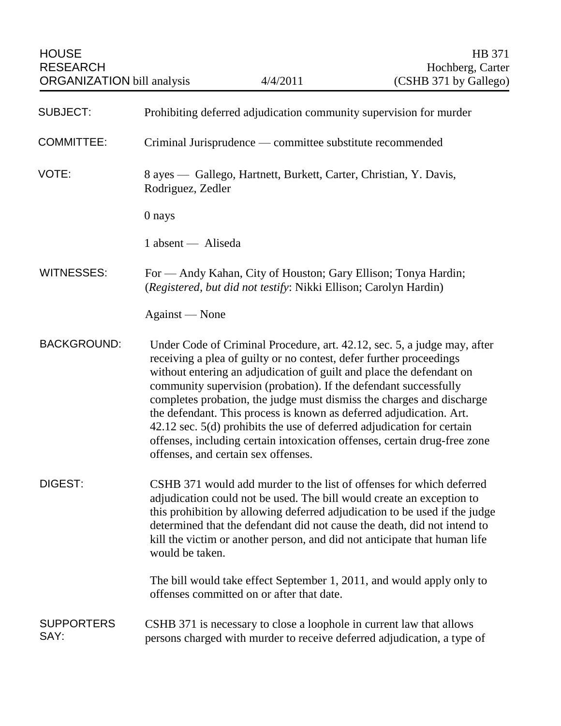| <b>HOUSE</b><br><b>RESEARCH</b><br><b>ORGANIZATION</b> bill analysis |                                                                                        | 4/4/2011                                                                                                                                                                                                                                              | HB 371<br>Hochberg, Carter<br>(CSHB 371 by Gallego)                                                                                                                                                                                                                                                                                                                                  |
|----------------------------------------------------------------------|----------------------------------------------------------------------------------------|-------------------------------------------------------------------------------------------------------------------------------------------------------------------------------------------------------------------------------------------------------|--------------------------------------------------------------------------------------------------------------------------------------------------------------------------------------------------------------------------------------------------------------------------------------------------------------------------------------------------------------------------------------|
| <b>SUBJECT:</b>                                                      | Prohibiting deferred adjudication community supervision for murder                     |                                                                                                                                                                                                                                                       |                                                                                                                                                                                                                                                                                                                                                                                      |
| <b>COMMITTEE:</b>                                                    | Criminal Jurisprudence — committee substitute recommended                              |                                                                                                                                                                                                                                                       |                                                                                                                                                                                                                                                                                                                                                                                      |
| VOTE:                                                                | 8 ayes — Gallego, Hartnett, Burkett, Carter, Christian, Y. Davis,<br>Rodriguez, Zedler |                                                                                                                                                                                                                                                       |                                                                                                                                                                                                                                                                                                                                                                                      |
|                                                                      | 0 nays                                                                                 |                                                                                                                                                                                                                                                       |                                                                                                                                                                                                                                                                                                                                                                                      |
|                                                                      | 1 absent — Aliseda                                                                     |                                                                                                                                                                                                                                                       |                                                                                                                                                                                                                                                                                                                                                                                      |
| <b>WITNESSES:</b>                                                    |                                                                                        | For — Andy Kahan, City of Houston; Gary Ellison; Tonya Hardin;<br>(Registered, but did not testify: Nikki Ellison; Carolyn Hardin)                                                                                                                    |                                                                                                                                                                                                                                                                                                                                                                                      |
|                                                                      | Against — None                                                                         |                                                                                                                                                                                                                                                       |                                                                                                                                                                                                                                                                                                                                                                                      |
| <b>BACKGROUND:</b>                                                   |                                                                                        | receiving a plea of guilty or no contest, defer further proceedings<br>community supervision (probation). If the defendant successfully<br>the defendant. This process is known as deferred adjudication. Art.<br>offenses, and certain sex offenses. | Under Code of Criminal Procedure, art. 42.12, sec. 5, a judge may, after<br>without entering an adjudication of guilt and place the defendant on<br>completes probation, the judge must dismiss the charges and discharge<br>42.12 sec. 5(d) prohibits the use of deferred adjudication for certain<br>offenses, including certain intoxication offenses, certain drug-free zone     |
| DIGEST:                                                              | would be taken.                                                                        |                                                                                                                                                                                                                                                       | CSHB 371 would add murder to the list of offenses for which deferred<br>adjudication could not be used. The bill would create an exception to<br>this prohibition by allowing deferred adjudication to be used if the judge<br>determined that the defendant did not cause the death, did not intend to<br>kill the victim or another person, and did not anticipate that human life |
|                                                                      |                                                                                        | offenses committed on or after that date.                                                                                                                                                                                                             | The bill would take effect September 1, 2011, and would apply only to                                                                                                                                                                                                                                                                                                                |
| <b>SUPPORTERS</b><br>SAY:                                            |                                                                                        |                                                                                                                                                                                                                                                       | CSHB 371 is necessary to close a loophole in current law that allows<br>persons charged with murder to receive deferred adjudication, a type of                                                                                                                                                                                                                                      |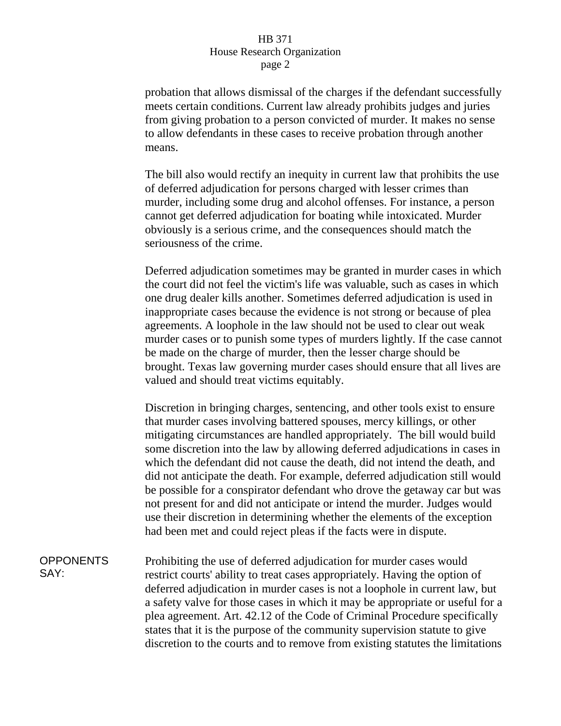## HB 371 House Research Organization page 2

probation that allows dismissal of the charges if the defendant successfully meets certain conditions. Current law already prohibits judges and juries from giving probation to a person convicted of murder. It makes no sense to allow defendants in these cases to receive probation through another means.

The bill also would rectify an inequity in current law that prohibits the use of deferred adjudication for persons charged with lesser crimes than murder, including some drug and alcohol offenses. For instance, a person cannot get deferred adjudication for boating while intoxicated. Murder obviously is a serious crime, and the consequences should match the seriousness of the crime.

Deferred adjudication sometimes may be granted in murder cases in which the court did not feel the victim's life was valuable, such as cases in which one drug dealer kills another. Sometimes deferred adjudication is used in inappropriate cases because the evidence is not strong or because of plea agreements. A loophole in the law should not be used to clear out weak murder cases or to punish some types of murders lightly. If the case cannot be made on the charge of murder, then the lesser charge should be brought. Texas law governing murder cases should ensure that all lives are valued and should treat victims equitably.

Discretion in bringing charges, sentencing, and other tools exist to ensure that murder cases involving battered spouses, mercy killings, or other mitigating circumstances are handled appropriately. The bill would build some discretion into the law by allowing deferred adjudications in cases in which the defendant did not cause the death, did not intend the death, and did not anticipate the death. For example, deferred adjudication still would be possible for a conspirator defendant who drove the getaway car but was not present for and did not anticipate or intend the murder. Judges would use their discretion in determining whether the elements of the exception had been met and could reject pleas if the facts were in dispute.

**OPPONENTS** SAY:

Prohibiting the use of deferred adjudication for murder cases would restrict courts' ability to treat cases appropriately. Having the option of deferred adjudication in murder cases is not a loophole in current law, but a safety valve for those cases in which it may be appropriate or useful for a plea agreement. Art. 42.12 of the Code of Criminal Procedure specifically states that it is the purpose of the community supervision statute to give discretion to the courts and to remove from existing statutes the limitations